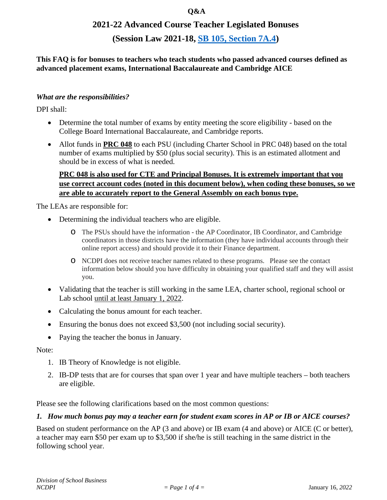#### **Q&A**

## **2021-22 Advanced Course Teacher Legislated Bonuses**

## **(Session Law 2021-18, [SB 105, Section 7A.4\)](https://www.ncleg.gov/Sessions/2021/Bills/Senate/PDF/S105v8.pdf#page=114)**

**This FAQ is for bonuses to teachers who teach students who passed advanced courses defined as advanced placement exams, International Baccalaureate and Cambridge AICE**

#### *What are the responsibilities?*

DPI shall:

- Determine the total number of exams by entity meeting the score eligibility based on the College Board International Baccalaureate, and Cambridge reports.
- Allot funds in **PRC 048** to each PSU (including Charter School in PRC 048) based on the total number of exams multiplied by \$50 (plus social security). This is an estimated allotment and should be in excess of what is needed.

## **PRC 048 is also used for CTE and Principal Bonuses. It is extremely important that you use correct account codes (noted in this document below), when coding these bonuses, so we are able to accurately report to the General Assembly on each bonus type.**

The LEAs are responsible for:

- Determining the individual teachers who are eligible.
	- o The PSUs should have the information the AP Coordinator, IB Coordinator, and Cambridge coordinators in those districts have the information (they have individual accounts through their online report access) and should provide it to their Finance department.
	- o NCDPI does not receive teacher names related to these programs. Please see the contact information below should you have difficulty in obtaining your qualified staff and they will assist you.
- Validating that the teacher is still working in the same LEA, charter school, regional school or Lab school until at least January 1, 2022.
- Calculating the bonus amount for each teacher.
- Ensuring the bonus does not exceed \$3,500 (not including social security).
- Paying the teacher the bonus in January.

Note:

- 1. IB Theory of Knowledge is not eligible.
- 2. IB-DP tests that are for courses that span over 1 year and have multiple teachers both teachers are eligible.

Please see the following clarifications based on the most common questions:

#### 1. How much bonus pay may a teacher earn for student exam scores in AP or IB or AICE courses?

Based on student performance on the AP (3 and above) or IB exam (4 and above) or AICE (C or better), a teacher may earn \$50 per exam up to \$3,500 if she/he is still teaching in the same district in the following school year.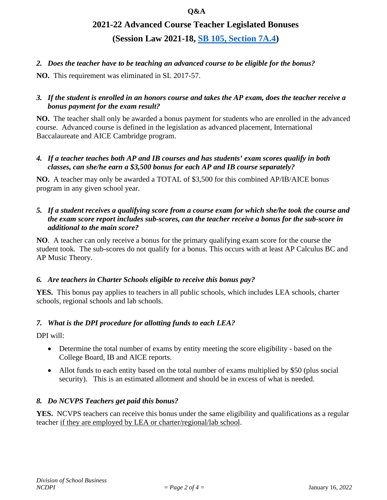#### **Q&A**

# **2021-22 Advanced Course Teacher Legislated Bonuses (Session Law 2021-18, [SB 105, Section 7A.4\)](https://www.ncleg.gov/Sessions/2021/Bills/Senate/PDF/S105v8.pdf#page=114)**

## *2. Does the teacher have to be teaching an advanced course to be eligible for the bonus?*

**NO.** This requirement was eliminated in SL 2017-57.

## 3. If the student is enrolled in an honors course and takes the AP exam, does the teacher receive a *bonus payment for the exam result?*

**NO.** The teacher shall only be awarded a bonus payment for students who are enrolled in the advanced course. Advanced course is defined in the legislation as advanced placement, International Baccalaureate and AICE Cambridge program.

#### *4. If a teacher teaches both AP and IB courses and has students' exam scores qualify in both classes, can she/he earn a \$3,500 bonus for each AP and IB course separately?*

**NO.** A teacher may only be awarded a TOTAL of \$3,500 for this combined AP/IB/AICE bonus program in any given school year.

#### 5. If a student receives a qualifying score from a course exam for which she/he took the course and *the exam score report includes sub-scores, can the teacher receive a bonus for the sub-score in additional to the main score?*

**NO**. A teacher can only receive a bonus for the primary qualifying exam score for the course the student took. The sub-scores do not qualify for a bonus. This occurs with at least AP Calculus BC and AP Music Theory.

#### *6. Are teachers in Charter Schools eligible to receive this bonus pay?*

**YES.** This bonus pay applies to teachers in all public schools, which includes LEA schools, charter schools, regional schools and lab schools.

## *7. What is the DPI procedure for allotting funds to each LEA?*

DPI will:

- Determine the total number of exams by entity meeting the score eligibility based on the College Board, IB and AICE reports.
- Allot funds to each entity based on the total number of exams multiplied by \$50 (plus social security). This is an estimated allotment and should be in excess of what is needed.

#### *8. Do NCVPS Teachers get paid this bonus?*

**YES.** NCVPS teachers can receive this bonus under the same eligibility and qualifications as a regular teacher if they are employed by LEA or charter/regional/lab school.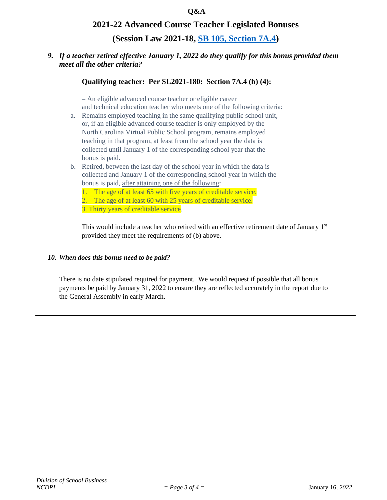#### **2021-22 Advanced Course Teacher Legislated Bonuses**

**(Session Law 2021-18, [SB 105, Section 7A.4\)](https://www.ncleg.gov/Sessions/2021/Bills/Senate/PDF/S105v8.pdf#page=114)**

#### *9. If a teacher retired effective January 1, 2022 do they qualify for this bonus provided them meet all the other criteria?*

#### **Qualifying teacher: Per SL2021-180: Section 7A.4 (b) (4):**

– An eligible advanced course teacher or eligible career and technical education teacher who meets one of the following criteria:

- a. Remains employed teaching in the same qualifying public school unit, or, if an eligible advanced course teacher is only employed by the North Carolina Virtual Public School program, remains employed teaching in that program, at least from the school year the data is collected until January 1 of the corresponding school year that the bonus is paid.
- b. Retired, between the last day of the school year in which the data is collected and January 1 of the corresponding school year in which the bonus is paid, after attaining one of the following:
	- 1. The age of at least 65 with five years of creditable service.
	- 2. The age of at least 60 with 25 years of creditable service.

3. Thirty years of creditable service.

This would include a teacher who retired with an effective retirement date of January  $1<sup>st</sup>$ provided they meet the requirements of (b) above.

#### *10. When does this bonus need to be paid?*

There is no date stipulated required for payment. We would request if possible that all bonus payments be paid by January 31, 2022 to ensure they are reflected accurately in the report due to the General Assembly in early March.